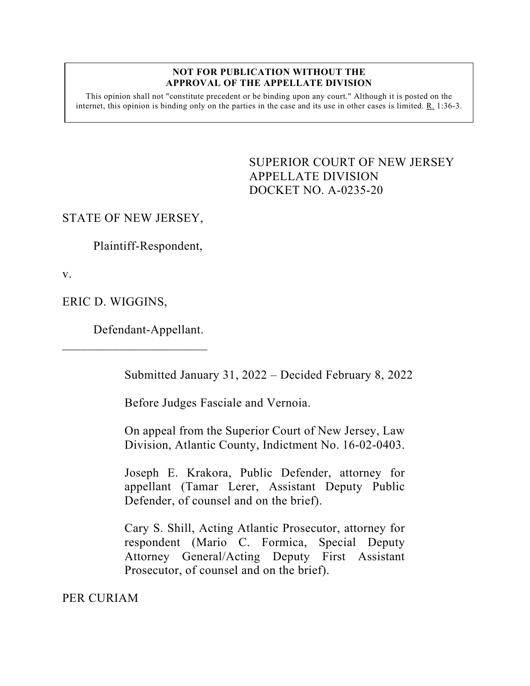#### **NOT FOR PUBLICATION WITHOUT THE APPROVAL OF THE APPELLATE DIVISION**

This opinion shall not "constitute precedent or be binding upon any court." Although it is posted on the internet, this opinion is binding only on the parties in the case and its use in other cases is limited. R. 1:36-3.

> <span id="page-0-0"></span>SUPERIOR COURT OF NEW JERSEY APPELLATE DIVISION DOCKET NO. A-0235-20

# STATE OF NEW JERSEY,

Plaintiff-Respondent,

v.

ERIC D. WIGGINS,

Defendant-Appellant.

 $\overline{\phantom{a}}$  , which is the set of the set of the set of the set of the set of the set of the set of the set of the set of the set of the set of the set of the set of the set of the set of the set of the set of the set of

Submitted January 31, 2022 – Decided February 8, 2022

Before Judges Fasciale and Vernoia.

On appeal from the Superior Court of New Jersey, Law Division, Atlantic County, Indictment No. 16-02-0403.

Joseph E. Krakora, Public Defender, attorney for appellant (Tamar Lerer, Assistant Deputy Public Defender, of counsel and on the brief).

Cary S. Shill, Acting Atlantic Prosecutor, attorney for respondent (Mario C. Formica, Special Deputy Attorney General/Acting Deputy First Assistant Prosecutor, of counsel and on the brief).

PER CURIAM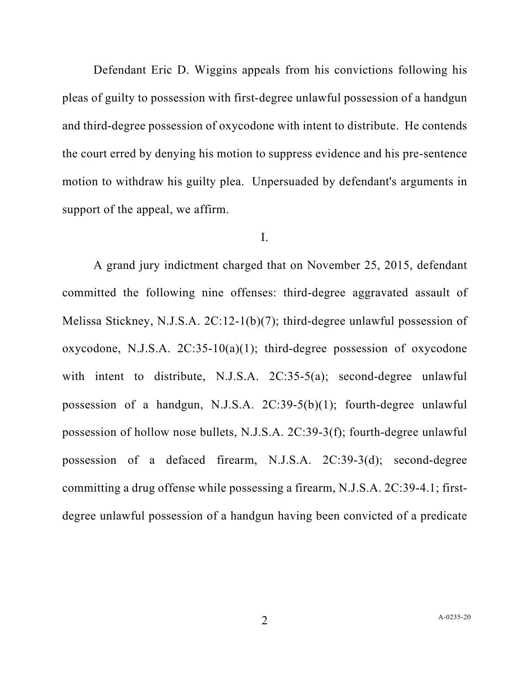Defendant Eric D. Wiggins appeals from his convictions following his pleas of guilty to possession with first-degree unlawful possession of a handgun and third-degree possession of oxycodone with intent to distribute. He contends the court erred by denying his motion to suppress evidence and his pre-sentence motion to withdraw his guilty plea. Unpersuaded by defendant's arguments in support of the appeal, we affirm.

### I.

A grand jury indictment charged that on November 25, 2015, defendant committed the following nine offenses: third-degree aggravated assault of Melissa Stickney, N.J.S.A. 2C:12-1(b)(7); third-degree unlawful possession of oxycodone, N.J.S.A. 2C:35-10(a)(1); third-degree possession of oxycodone with intent to distribute, N.J.S.A. 2C:35-5(a); second-degree unlawful possession of a handgun, N.J.S.A. 2C:39-5(b)(1); fourth-degree unlawful possession of hollow nose bullets, N.J.S.A. 2C:39-3(f); fourth-degree unlawful possession of a defaced firearm, N.J.S.A. 2C:39-3(d); second-degree committing a drug offense while possessing a firearm, N.J.S.A. 2C:39-4.1; firstdegree unlawful possession of a handgun having been convicted of a predicate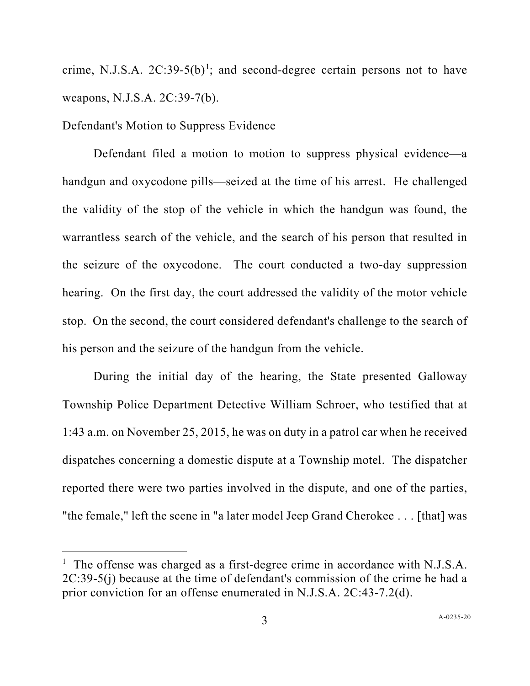crime, N.J.S.A.  $2C:39-5(b)^1$  $2C:39-5(b)^1$ ; and second-degree certain persons not to have weapons, N.J.S.A. 2C:39-7(b).

### Defendant's Motion to Suppress Evidence

Defendant filed a motion to motion to suppress physical evidence—a handgun and oxycodone pills—seized at the time of his arrest. He challenged the validity of the stop of the vehicle in which the handgun was found, the warrantless search of the vehicle, and the search of his person that resulted in the seizure of the oxycodone. The court conducted a two-day suppression hearing. On the first day, the court addressed the validity of the motor vehicle stop. On the second, the court considered defendant's challenge to the search of his person and the seizure of the handgun from the vehicle.

During the initial day of the hearing, the State presented Galloway Township Police Department Detective William Schroer, who testified that at 1:43 a.m. on November 25, 2015, he was on duty in a patrol car when he received dispatches concerning a domestic dispute at a Township motel. The dispatcher reported there were two parties involved in the dispute, and one of the parties, "the female," left the scene in "a later model Jeep Grand Cherokee . . . [that] was

<span id="page-2-0"></span><sup>&</sup>lt;sup>1</sup> The offense was charged as a first-degree crime in accordance with N.J.S.A. 2C:39-5(j) because at the time of defendant's commission of the crime he had a prior conviction for an offense enumerated in N.J.S.A. 2C:43-7.2(d).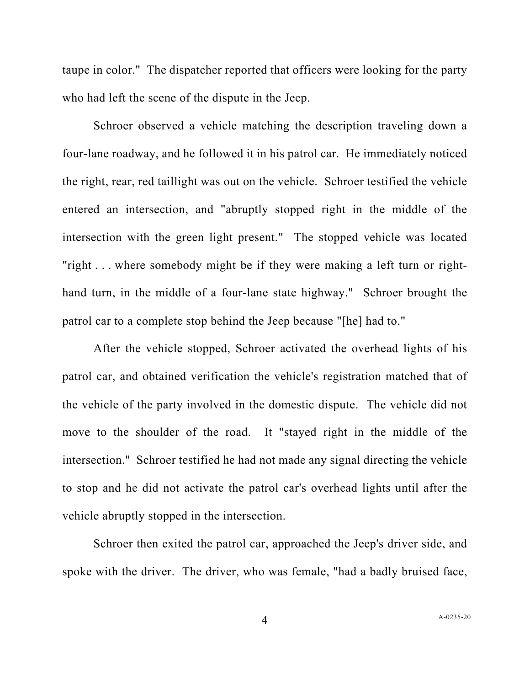taupe in color." The dispatcher reported that officers were looking for the party who had left the scene of the dispute in the Jeep.

Schroer observed a vehicle matching the description traveling down a four-lane roadway, and he followed it in his patrol car. He immediately noticed the right, rear, red taillight was out on the vehicle. Schroer testified the vehicle entered an intersection, and "abruptly stopped right in the middle of the intersection with the green light present." The stopped vehicle was located "right . . . where somebody might be if they were making a left turn or righthand turn, in the middle of a four-lane state highway." Schroer brought the patrol car to a complete stop behind the Jeep because "[he] had to."

After the vehicle stopped, Schroer activated the overhead lights of his patrol car, and obtained verification the vehicle's registration matched that of the vehicle of the party involved in the domestic dispute. The vehicle did not move to the shoulder of the road. It "stayed right in the middle of the intersection." Schroer testified he had not made any signal directing the vehicle to stop and he did not activate the patrol car's overhead lights until after the vehicle abruptly stopped in the intersection.

Schroer then exited the patrol car, approached the Jeep's driver side, and spoke with the driver. The driver, who was female, "had a badly bruised face,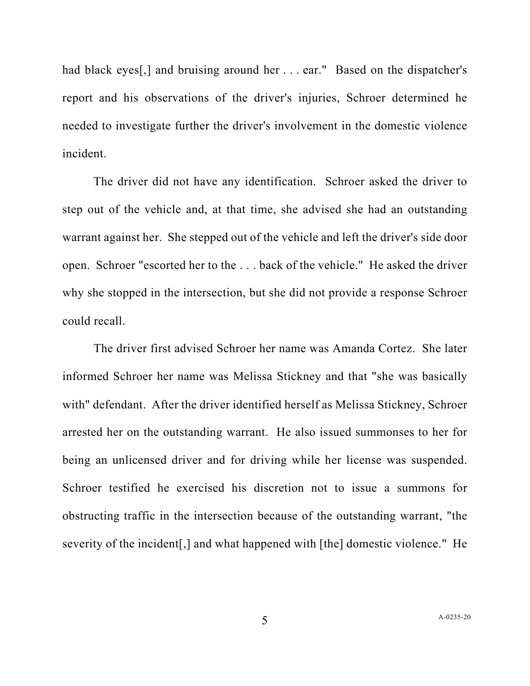had black eyes[,] and bruising around her . . . ear." Based on the dispatcher's report and his observations of the driver's injuries, Schroer determined he needed to investigate further the driver's involvement in the domestic violence incident.

The driver did not have any identification. Schroer asked the driver to step out of the vehicle and, at that time, she advised she had an outstanding warrant against her. She stepped out of the vehicle and left the driver's side door open. Schroer "escorted her to the . . . back of the vehicle." He asked the driver why she stopped in the intersection, but she did not provide a response Schroer could recall.

The driver first advised Schroer her name was Amanda Cortez. She later informed Schroer her name was Melissa Stickney and that "she was basically with" defendant. After the driver identified herself as Melissa Stickney, Schroer arrested her on the outstanding warrant. He also issued summonses to her for being an unlicensed driver and for driving while her license was suspended. Schroer testified he exercised his discretion not to issue a summons for obstructing traffic in the intersection because of the outstanding warrant, "the severity of the incident[,] and what happened with [the] domestic violence." He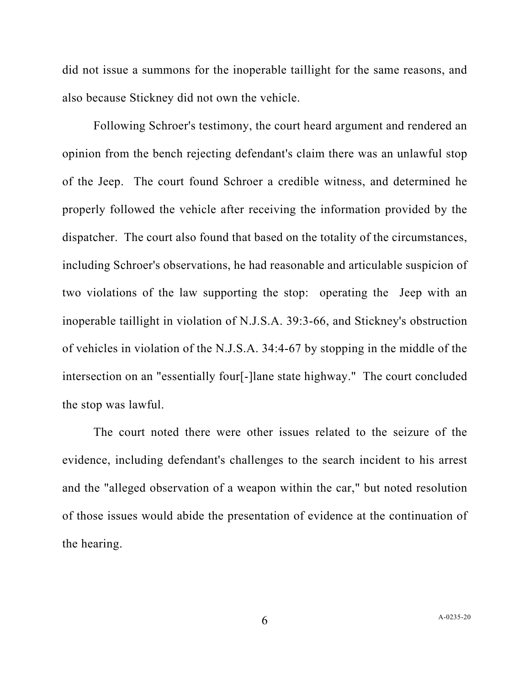did not issue a summons for the inoperable taillight for the same reasons, and also because Stickney did not own the vehicle.

Following Schroer's testimony, the court heard argument and rendered an opinion from the bench rejecting defendant's claim there was an unlawful stop of the Jeep. The court found Schroer a credible witness, and determined he properly followed the vehicle after receiving the information provided by the dispatcher. The court also found that based on the totality of the circumstances, including Schroer's observations, he had reasonable and articulable suspicion of two violations of the law supporting the stop: operating the Jeep with an inoperable taillight in violation of N.J.S.A. 39:3-66, and Stickney's obstruction of vehicles in violation of the N.J.S.A. 34:4-67 by stopping in the middle of the intersection on an "essentially four[-]lane state highway." The court concluded the stop was lawful.

The court noted there were other issues related to the seizure of the evidence, including defendant's challenges to the search incident to his arrest and the "alleged observation of a weapon within the car," but noted resolution of those issues would abide the presentation of evidence at the continuation of the hearing.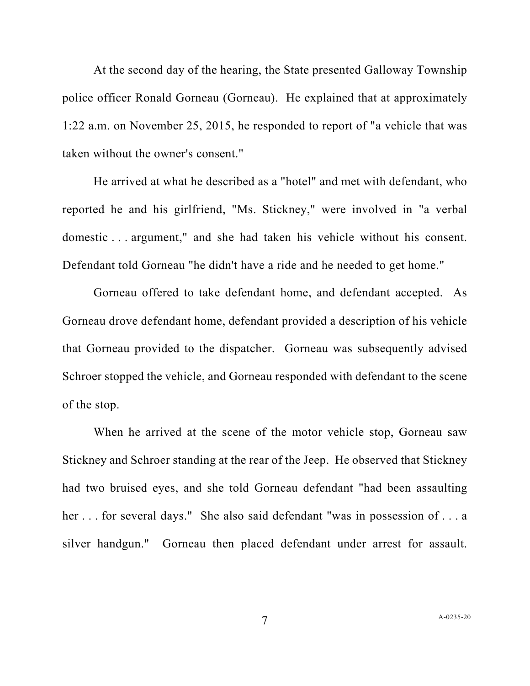At the second day of the hearing, the State presented Galloway Township police officer Ronald Gorneau (Gorneau). He explained that at approximately 1:22 a.m. on November 25, 2015, he responded to report of "a vehicle that was taken without the owner's consent."

He arrived at what he described as a "hotel" and met with defendant, who reported he and his girlfriend, "Ms. Stickney," were involved in "a verbal domestic . . . argument," and she had taken his vehicle without his consent. Defendant told Gorneau "he didn't have a ride and he needed to get home."

Gorneau offered to take defendant home, and defendant accepted. As Gorneau drove defendant home, defendant provided a description of his vehicle that Gorneau provided to the dispatcher. Gorneau was subsequently advised Schroer stopped the vehicle, and Gorneau responded with defendant to the scene of the stop.

When he arrived at the scene of the motor vehicle stop, Gorneau saw Stickney and Schroer standing at the rear of the Jeep. He observed that Stickney had two bruised eyes, and she told Gorneau defendant "had been assaulting her . . . for several days." She also said defendant "was in possession of . . . a silver handgun." Gorneau then placed defendant under arrest for assault.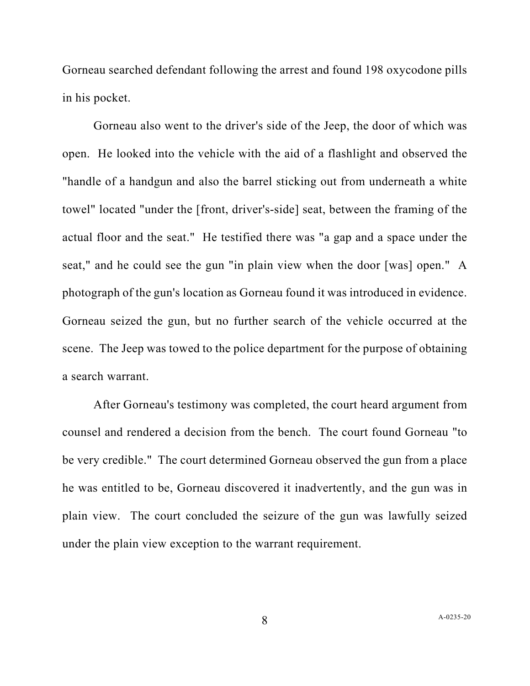Gorneau searched defendant following the arrest and found 198 oxycodone pills in his pocket.

Gorneau also went to the driver's side of the Jeep, the door of which was open. He looked into the vehicle with the aid of a flashlight and observed the "handle of a handgun and also the barrel sticking out from underneath a white towel" located "under the [front, driver's-side] seat, between the framing of the actual floor and the seat." He testified there was "a gap and a space under the seat," and he could see the gun "in plain view when the door [was] open." A photograph of the gun's location as Gorneau found it was introduced in evidence. Gorneau seized the gun, but no further search of the vehicle occurred at the scene. The Jeep was towed to the police department for the purpose of obtaining a search warrant.

After Gorneau's testimony was completed, the court heard argument from counsel and rendered a decision from the bench. The court found Gorneau "to be very credible." The court determined Gorneau observed the gun from a place he was entitled to be, Gorneau discovered it inadvertently, and the gun was in plain view. The court concluded the seizure of the gun was lawfully seized under the plain view exception to the warrant requirement.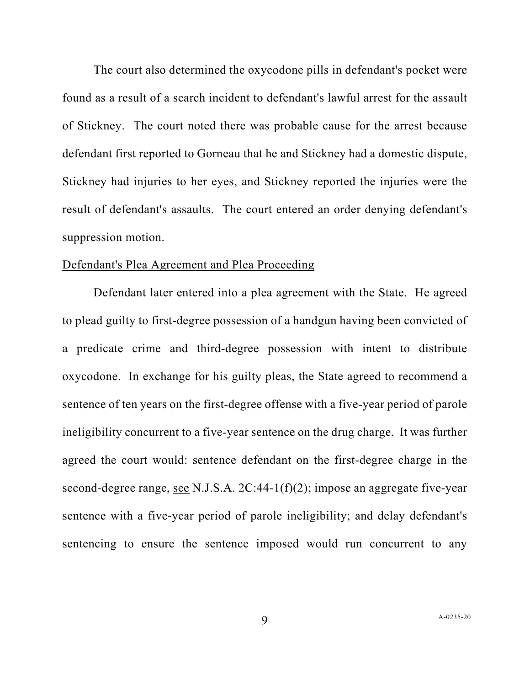The court also determined the oxycodone pills in defendant's pocket were found as a result of a search incident to defendant's lawful arrest for the assault of Stickney. The court noted there was probable cause for the arrest because defendant first reported to Gorneau that he and Stickney had a domestic dispute, Stickney had injuries to her eyes, and Stickney reported the injuries were the result of defendant's assaults. The court entered an order denying defendant's suppression motion.

## Defendant's Plea Agreement and Plea Proceeding

Defendant later entered into a plea agreement with the State. He agreed to plead guilty to first-degree possession of a handgun having been convicted of a predicate crime and third-degree possession with intent to distribute oxycodone. In exchange for his guilty pleas, the State agreed to recommend a sentence of ten years on the first-degree offense with a five-year period of parole ineligibility concurrent to a five-year sentence on the drug charge. It was further agreed the court would: sentence defendant on the first-degree charge in the second-degree range, see N.J.S.A. 2C:44-1(f)(2); impose an aggregate five-year sentence with a five-year period of parole ineligibility; and delay defendant's sentencing to ensure the sentence imposed would run concurrent to any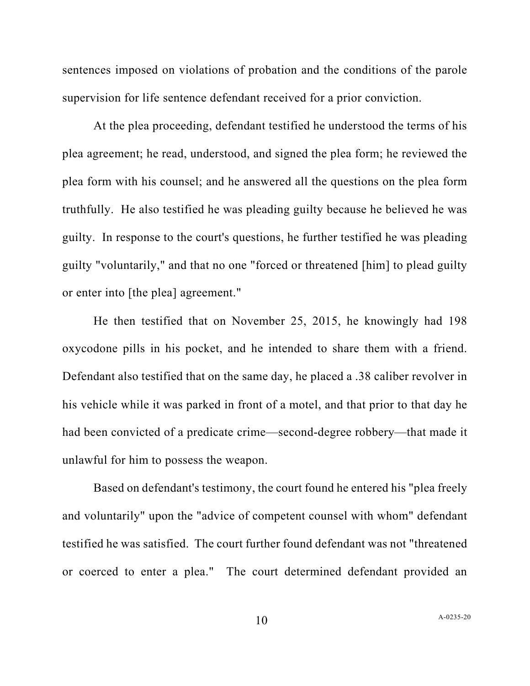sentences imposed on violations of probation and the conditions of the parole supervision for life sentence defendant received for a prior conviction.

At the plea proceeding, defendant testified he understood the terms of his plea agreement; he read, understood, and signed the plea form; he reviewed the plea form with his counsel; and he answered all the questions on the plea form truthfully. He also testified he was pleading guilty because he believed he was guilty. In response to the court's questions, he further testified he was pleading guilty "voluntarily," and that no one "forced or threatened [him] to plead guilty or enter into [the plea] agreement."

He then testified that on November 25, 2015, he knowingly had 198 oxycodone pills in his pocket, and he intended to share them with a friend. Defendant also testified that on the same day, he placed a .38 caliber revolver in his vehicle while it was parked in front of a motel, and that prior to that day he had been convicted of a predicate crime—second-degree robbery—that made it unlawful for him to possess the weapon.

Based on defendant's testimony, the court found he entered his "plea freely and voluntarily" upon the "advice of competent counsel with whom" defendant testified he was satisfied. The court further found defendant was not "threatened or coerced to enter a plea." The court determined defendant provided an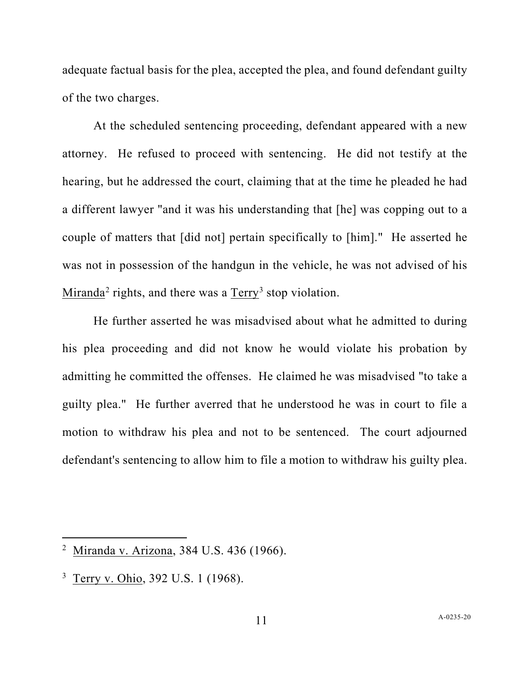adequate factual basis for the plea, accepted the plea, and found defendant guilty of the two charges.

At the scheduled sentencing proceeding, defendant appeared with a new attorney. He refused to proceed with sentencing. He did not testify at the hearing, but he addressed the court, claiming that at the time he pleaded he had a different lawyer "and it was his understanding that [he] was copping out to a couple of matters that [did not] pertain specifically to [him]." He asserted he was not in possession of the handgun in the vehicle, he was not advised of his Miranda<sup>[2](#page-10-0)</sup> rights, and there was a  $Terry<sup>3</sup> stop violation.$  $Terry<sup>3</sup> stop violation.$  $Terry<sup>3</sup> stop violation.$ 

He further asserted he was misadvised about what he admitted to during his plea proceeding and did not know he would violate his probation by admitting he committed the offenses. He claimed he was misadvised "to take a guilty plea." He further averred that he understood he was in court to file a motion to withdraw his plea and not to be sentenced. The court adjourned defendant's sentencing to allow him to file a motion to withdraw his guilty plea.

<span id="page-10-0"></span><sup>&</sup>lt;sup>2</sup> Miranda v. Arizona, 384 U.S. 436 (1966).

<span id="page-10-1"></span><sup>3</sup> Terry v. Ohio, 392 U.S. 1 (1968).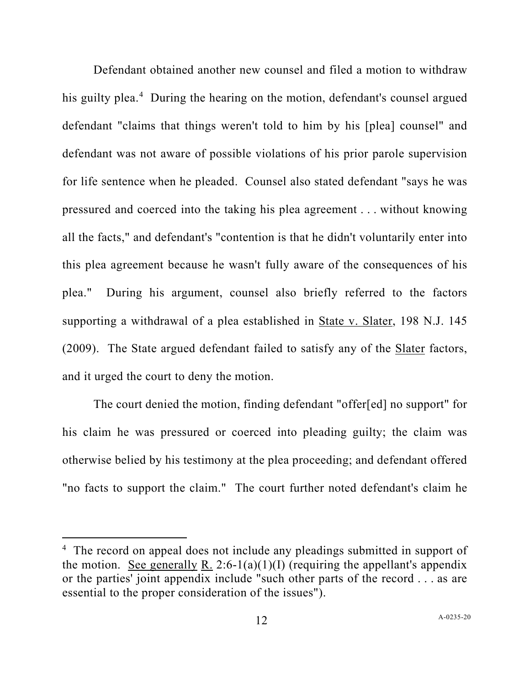Defendant obtained another new counsel and filed a motion to withdraw his guilty plea.<sup>[4](#page-11-0)</sup> During the hearing on the motion, defendant's counsel argued defendant "claims that things weren't told to him by his [plea] counsel" and defendant was not aware of possible violations of his prior parole supervision for life sentence when he pleaded. Counsel also stated defendant "says he was pressured and coerced into the taking his plea agreement . . . without knowing all the facts," and defendant's "contention is that he didn't voluntarily enter into this plea agreement because he wasn't fully aware of the consequences of his plea." During his argument, counsel also briefly referred to the factors supporting a withdrawal of a plea established in State v. Slater, 198 N.J. 145 (2009). The State argued defendant failed to satisfy any of the Slater factors, and it urged the court to deny the motion.

The court denied the motion, finding defendant "offer[ed] no support" for his claim he was pressured or coerced into pleading guilty; the claim was otherwise belied by his testimony at the plea proceeding; and defendant offered "no facts to support the claim." The court further noted defendant's claim he

<span id="page-11-0"></span><sup>&</sup>lt;sup>4</sup> The record on appeal does not include any pleadings submitted in support of the motion. See generally R. 2:6-1(a)(1)(I) (requiring the appellant's appendix or the parties' joint appendix include "such other parts of the record . . . as are essential to the proper consideration of the issues").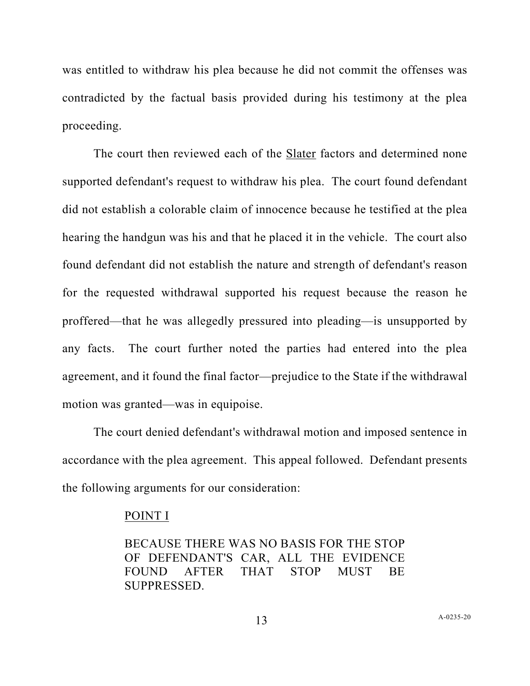was entitled to withdraw his plea because he did not commit the offenses was contradicted by the factual basis provided during his testimony at the plea proceeding.

The court then reviewed each of the Slater factors and determined none supported defendant's request to withdraw his plea. The court found defendant did not establish a colorable claim of innocence because he testified at the plea hearing the handgun was his and that he placed it in the vehicle. The court also found defendant did not establish the nature and strength of defendant's reason for the requested withdrawal supported his request because the reason he proffered—that he was allegedly pressured into pleading—is unsupported by any facts. The court further noted the parties had entered into the plea agreement, and it found the final factor—prejudice to the State if the withdrawal motion was granted—was in equipoise.

The court denied defendant's withdrawal motion and imposed sentence in accordance with the plea agreement. This appeal followed. Defendant presents the following arguments for our consideration:

#### POINT I

BECAUSE THERE WAS NO BASIS FOR THE STOP OF DEFENDANT'S CAR, ALL THE EVIDENCE FOUND AFTER THAT STOP MUST BE SUPPRESSED.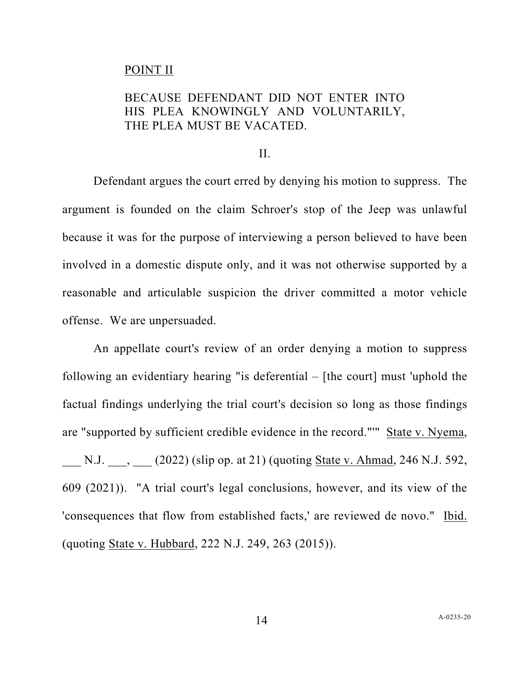## POINT II

# BECAUSE DEFENDANT DID NOT ENTER INTO HIS PLEA KNOWINGLY AND VOLUNTARILY, THE PLEA MUST BE VACATED.

II.

Defendant argues the court erred by denying his motion to suppress. The argument is founded on the claim Schroer's stop of the Jeep was unlawful because it was for the purpose of interviewing a person believed to have been involved in a domestic dispute only, and it was not otherwise supported by a reasonable and articulable suspicion the driver committed a motor vehicle offense. We are unpersuaded.

An appellate court's review of an order denying a motion to suppress following an evidentiary hearing "is deferential – [the court] must 'uphold the factual findings underlying the trial court's decision so long as those findings are "supported by sufficient credible evidence in the record."'" State v. Nyema, N.J.  $\qquad$ ,  $(2022)$  (slip op. at 21) (quoting State v. Ahmad, 246 N.J. 592, 609 (2021)). "A trial court's legal conclusions, however, and its view of the 'consequences that flow from established facts,' are reviewed de novo." Ibid. (quoting State v. Hubbard, 222 N.J. 249, 263 (2015)).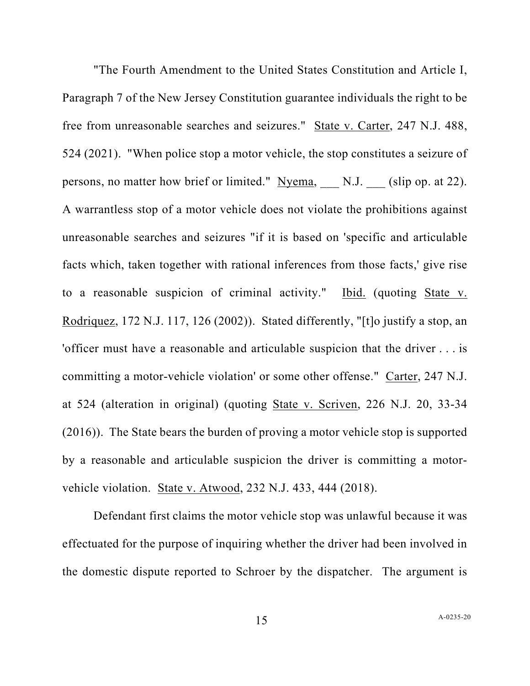"The Fourth Amendment to the United States Constitution and Article I, Paragraph 7 of the New Jersey Constitution guarantee individuals the right to be free from unreasonable searches and seizures." State v. Carter, 247 N.J. 488, 524 (2021). "When police stop a motor vehicle, the stop constitutes a seizure of persons, no matter how brief or limited." Nyema, N.J. (slip op. at 22). A warrantless stop of a motor vehicle does not violate the prohibitions against unreasonable searches and seizures "if it is based on 'specific and articulable facts which, taken together with rational inferences from those facts,' give rise to a reasonable suspicion of criminal activity." Ibid. (quoting State v. Rodriquez, 172 N.J. 117, 126 (2002)). Stated differently, "[t]o justify a stop, an 'officer must have a reasonable and articulable suspicion that the driver . . . is committing a motor-vehicle violation' or some other offense." Carter, 247 N.J. at 524 (alteration in original) (quoting State v. Scriven, 226 N.J. 20, 33-34 (2016)). The State bears the burden of proving a motor vehicle stop is supported by a reasonable and articulable suspicion the driver is committing a motorvehicle violation. State v. Atwood, 232 N.J. 433, 444 (2018).

Defendant first claims the motor vehicle stop was unlawful because it was effectuated for the purpose of inquiring whether the driver had been involved in the domestic dispute reported to Schroer by the dispatcher. The argument is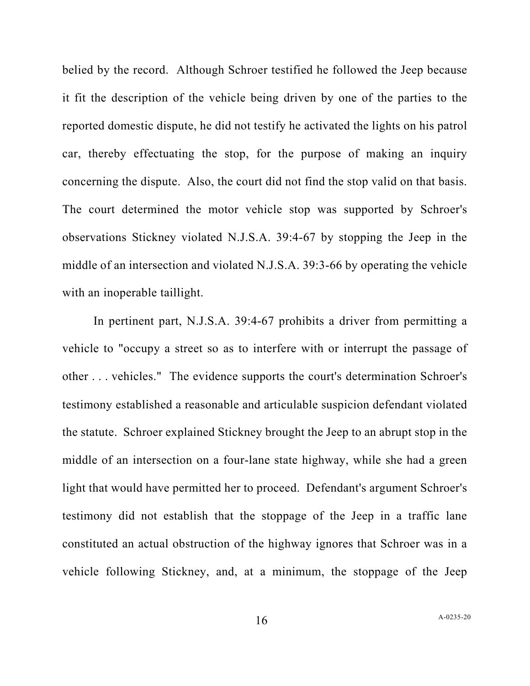belied by the record. Although Schroer testified he followed the Jeep because it fit the description of the vehicle being driven by one of the parties to the reported domestic dispute, he did not testify he activated the lights on his patrol car, thereby effectuating the stop, for the purpose of making an inquiry concerning the dispute. Also, the court did not find the stop valid on that basis. The court determined the motor vehicle stop was supported by Schroer's observations Stickney violated N.J.S.A. 39:4-67 by stopping the Jeep in the middle of an intersection and violated N.J.S.A. 39:3-66 by operating the vehicle with an inoperable taillight.

In pertinent part, N.J.S.A. 39:4-67 prohibits a driver from permitting a vehicle to "occupy a street so as to interfere with or interrupt the passage of other . . . vehicles." The evidence supports the court's determination Schroer's testimony established a reasonable and articulable suspicion defendant violated the statute. Schroer explained Stickney brought the Jeep to an abrupt stop in the middle of an intersection on a four-lane state highway, while she had a green light that would have permitted her to proceed. Defendant's argument Schroer's testimony did not establish that the stoppage of the Jeep in a traffic lane constituted an actual obstruction of the highway ignores that Schroer was in a vehicle following Stickney, and, at a minimum, the stoppage of the Jeep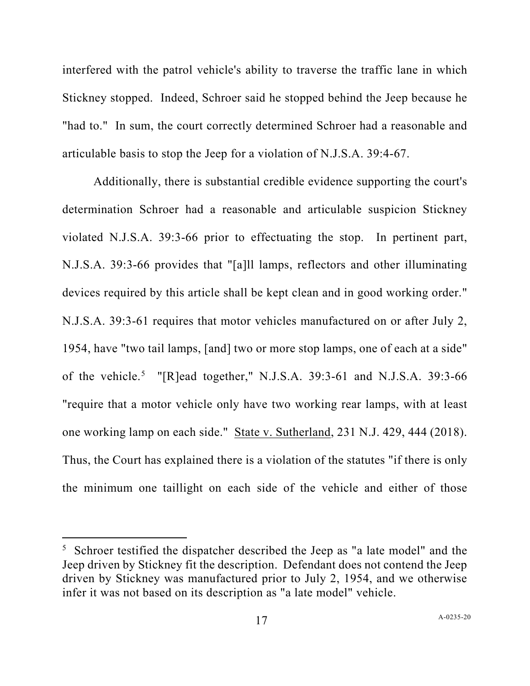interfered with the patrol vehicle's ability to traverse the traffic lane in which Stickney stopped. Indeed, Schroer said he stopped behind the Jeep because he "had to." In sum, the court correctly determined Schroer had a reasonable and articulable basis to stop the Jeep for a violation of N.J.S.A. 39:4-67.

Additionally, there is substantial credible evidence supporting the court's determination Schroer had a reasonable and articulable suspicion Stickney violated N.J.S.A. 39:3-66 prior to effectuating the stop. In pertinent part, N.J.S.A. 39:3-66 provides that "[a]ll lamps, reflectors and other illuminating devices required by this article shall be kept clean and in good working order." N.J.S.A. 39:3-61 requires that motor vehicles manufactured on or after July 2, 1954, have "two tail lamps, [and] two or more stop lamps, one of each at a side" of the vehicle.<sup>[5](#page-16-0)</sup> "[R]ead together," N.J.S.A. 39:3-61 and N.J.S.A. 39:3-66 "require that a motor vehicle only have two working rear lamps, with at least one working lamp on each side." State v. Sutherland, 231 N.J. 429, 444 (2018). Thus, the Court has explained there is a violation of the statutes "if there is only the minimum one taillight on each side of the vehicle and either of those

<span id="page-16-0"></span> $5$  Schroer testified the dispatcher described the Jeep as "a late model" and the Jeep driven by Stickney fit the description. Defendant does not contend the Jeep driven by Stickney was manufactured prior to July 2, 1954, and we otherwise infer it was not based on its description as "a late model" vehicle.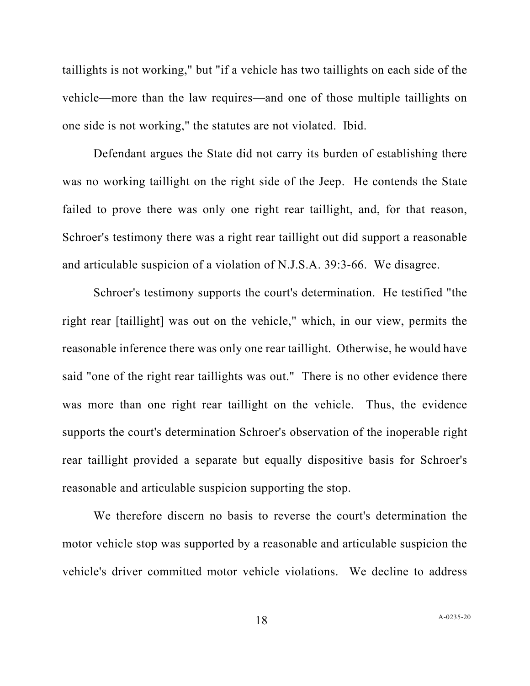taillights is not working," but "if a vehicle has two taillights on each side of the vehicle—more than the law requires—and one of those multiple taillights on one side is not working," the statutes are not violated. Ibid.

Defendant argues the State did not carry its burden of establishing there was no working taillight on the right side of the Jeep. He contends the State failed to prove there was only one right rear taillight, and, for that reason, Schroer's testimony there was a right rear taillight out did support a reasonable and articulable suspicion of a violation of N.J.S.A. 39:3-66. We disagree.

Schroer's testimony supports the court's determination. He testified "the right rear [taillight] was out on the vehicle," which, in our view, permits the reasonable inference there was only one rear taillight. Otherwise, he would have said "one of the right rear taillights was out." There is no other evidence there was more than one right rear taillight on the vehicle. Thus, the evidence supports the court's determination Schroer's observation of the inoperable right rear taillight provided a separate but equally dispositive basis for Schroer's reasonable and articulable suspicion supporting the stop.

We therefore discern no basis to reverse the court's determination the motor vehicle stop was supported by a reasonable and articulable suspicion the vehicle's driver committed motor vehicle violations. We decline to address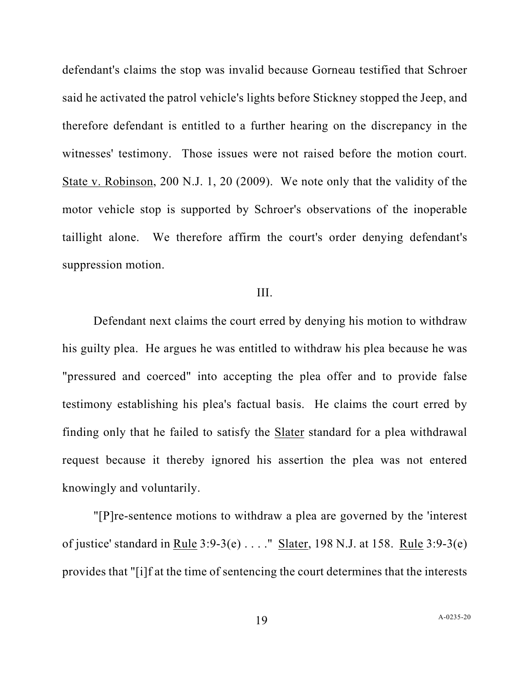defendant's claims the stop was invalid because Gorneau testified that Schroer said he activated the patrol vehicle's lights before Stickney stopped the Jeep, and therefore defendant is entitled to a further hearing on the discrepancy in the witnesses' testimony. Those issues were not raised before the motion court. State v. Robinson, 200 N.J. 1, 20 (2009). We note only that the validity of the motor vehicle stop is supported by Schroer's observations of the inoperable taillight alone. We therefore affirm the court's order denying defendant's suppression motion.

### III.

Defendant next claims the court erred by denying his motion to withdraw his guilty plea. He argues he was entitled to withdraw his plea because he was "pressured and coerced" into accepting the plea offer and to provide false testimony establishing his plea's factual basis. He claims the court erred by finding only that he failed to satisfy the Slater standard for a plea withdrawal request because it thereby ignored his assertion the plea was not entered knowingly and voluntarily.

"[P]re-sentence motions to withdraw a plea are governed by the 'interest of justice' standard in Rule 3:9-3(e) . . . ." Slater, 198 N.J. at 158. Rule 3:9-3(e) provides that "[i]f at the time of sentencing the court determines that the interests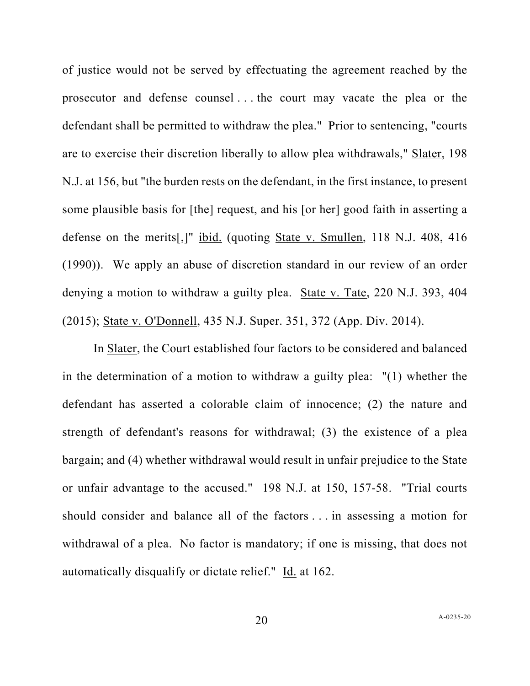of justice would not be served by effectuating the agreement reached by the prosecutor and defense counsel . . . the court may vacate the plea or the defendant shall be permitted to withdraw the plea." Prior to sentencing, "courts are to exercise their discretion liberally to allow plea withdrawals," Slater, 198 N.J. at 156, but "the burden rests on the defendant, in the first instance, to present some plausible basis for [the] request, and his [or her] good faith in asserting a defense on the merits[,]" ibid. (quoting State v. Smullen, 118 N.J. 408, 416 (1990)). We apply an abuse of discretion standard in our review of an order denying a motion to withdraw a guilty plea. State v. Tate, 220 N.J. 393, 404 (2015); State v. O'Donnell, 435 N.J. Super. 351, 372 (App. Div. 2014).

In Slater, the Court established four factors to be considered and balanced in the determination of a motion to withdraw a guilty plea: "(1) whether the defendant has asserted a colorable claim of innocence; (2) the nature and strength of defendant's reasons for withdrawal; (3) the existence of a plea bargain; and (4) whether withdrawal would result in unfair prejudice to the State or unfair advantage to the accused." 198 N.J. at 150, 157-58. "Trial courts should consider and balance all of the factors . . . in assessing a motion for withdrawal of a plea. No factor is mandatory; if one is missing, that does not automatically disqualify or dictate relief." Id. at [162.](https://1.next.westlaw.com/Link/Document/FullText?findType=Y&serNum=2018104517&pubNum=0000583&originatingDoc=I41fe3fd03db111ecb886b9dda1c6d252&refType=RP&fi=co_pp_sp_583_162&originationContext=document&transitionType=DocumentItem&ppcid=2d09a525ac894d659c29b1913b3e8cd8&contextData=(sc.Keycite)#co_pp_sp_583_162)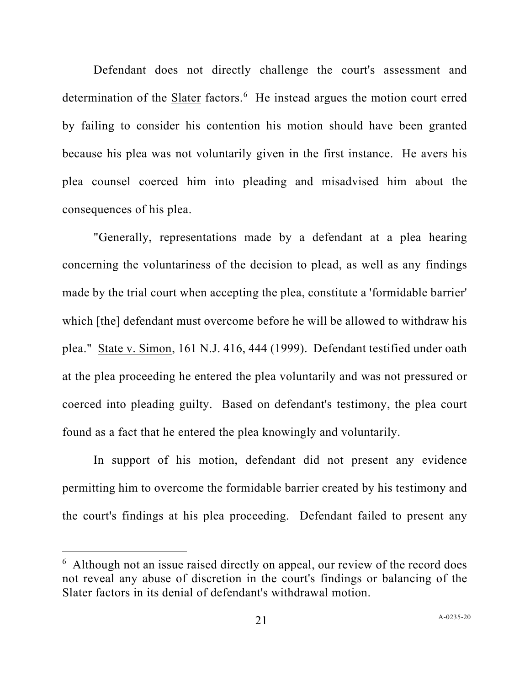Defendant does not directly challenge the court's assessment and determination of the **Slater** factors.<sup>[6](#page-20-0)</sup> He instead argues the motion court erred by failing to consider his contention his motion should have been granted because his plea was not voluntarily given in the first instance. He avers his plea counsel coerced him into pleading and misadvised him about the consequences of his plea.

"Generally, representations made by a defendant at a plea hearing concerning the voluntariness of the decision to plead, as well as any findings made by the trial court when accepting the plea, constitute a 'formidable barrier' which [the] defendant must overcome before he will be allowed to withdraw his plea." State v. Simon, 161 N.J. 416, 444 (1999). Defendant testified under oath at the plea proceeding he entered the plea voluntarily and was not pressured or coerced into pleading guilty. Based on defendant's testimony, the plea court found as a fact that he entered the plea knowingly and voluntarily.

In support of his motion, defendant did not present any evidence permitting him to overcome the formidable barrier created by his testimony and the court's findings at his plea proceeding. Defendant failed to present any

<span id="page-20-0"></span><sup>&</sup>lt;sup>6</sup> Although not an issue raised directly on appeal, our review of the record does not reveal any abuse of discretion in the court's findings or balancing of the Slater factors in its denial of defendant's withdrawal motion.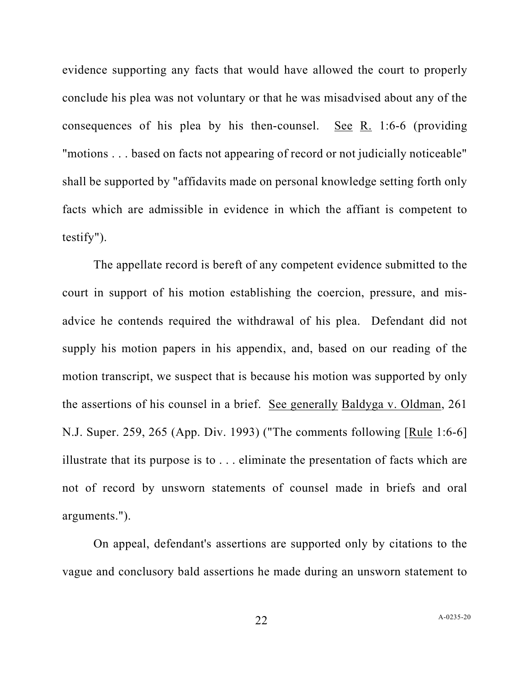evidence supporting any facts that would have allowed the court to properly conclude his plea was not voluntary or that he was misadvised about any of the consequences of his plea by his then-counsel. See R. 1:6-6 (providing "motions . . . based on facts not appearing of record or not judicially noticeable" shall be supported by "affidavits made on personal knowledge setting forth only facts which are admissible in evidence in which the affiant is competent to testify").

The appellate record is bereft of any competent evidence submitted to the court in support of his motion establishing the coercion, pressure, and misadvice he contends required the withdrawal of his plea. Defendant did not supply his motion papers in his appendix, and, based on our reading of the motion transcript, we suspect that is because his motion was supported by only the assertions of his counsel in a brief. See generally Baldyga v. Oldman, 261 N.J. Super. 259, 265 (App. Div. 1993) ("The comments following [Rule 1:6-6] illustrate that its purpose is to . . . eliminate the presentation of facts which are not of record by unsworn statements of counsel made in briefs and oral arguments.").

On appeal, defendant's assertions are supported only by citations to the vague and conclusory bald assertions he made during an unsworn statement to